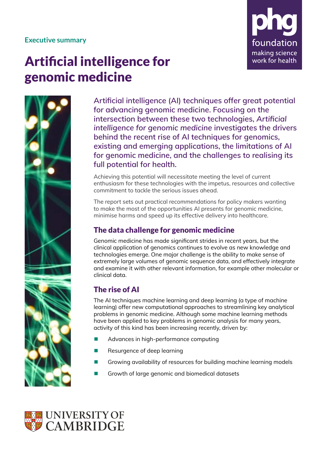### **Executive summary**



# Artificial intelligence for genomic medicine



**Artificial intelligence (AI) techniques offer great potential for advancing genomic medicine. Focusing on the intersection between these two technologies,** *Artificial intelligence for genomic medicine* **investigates the drivers behind the recent rise of AI techniques for genomics, existing and emerging applications, the limitations of AI for genomic medicine, and the challenges to realising its full potential for health.** 

Achieving this potential will necessitate meeting the level of current enthusiasm for these technologies with the impetus, resources and collective commitment to tackle the serious issues ahead.

The report sets out practical recommendations for policy makers wanting to make the most of the opportunities AI presents for genomic medicine, minimise harms and speed up its effective delivery into healthcare.

## The data challenge for genomic medicine

Genomic medicine has made significant strides in recent years, but the clinical application of genomics continues to evolve as new knowledge and technologies emerge. One major challenge is the ability to make sense of extremely large volumes of genomic sequence data, and effectively integrate and examine it with other relevant information, for example other molecular or clinical data.

# The rise of AI

The AI techniques machine learning and deep learning (a type of machine learning) offer new computational approaches to streamlining key analytical problems in genomic medicine. Although some machine learning methods have been applied to key problems in genomic analysis for many years, activity of this kind has been increasing recently, driven by:

- Advances in high-performance computing
- Resurgence of deep learning
- Growing availability of resources for building machine learning models
- Growth of large genomic and biomedical datasets

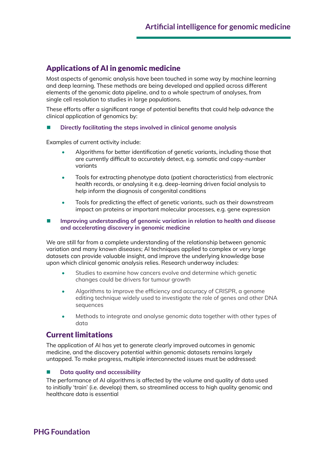## Applications of AI in genomic medicine

Most aspects of genomic analysis have been touched in some way by machine learning and deep learning. These methods are being developed and applied across different elements of the genomic data pipeline, and to a whole spectrum of analyses, from single cell resolution to studies in large populations.

These efforts offer a significant range of potential benefits that could help advance the clinical application of genomics by:

#### **Directly facilitating the steps involved in clinical genome analysis**

Examples of current activity include:

- Algorithms for better identification of genetic variants, including those that are currently difficult to accurately detect, e.g. somatic and copy-number variants
- Tools for extracting phenotype data (patient characteristics) from electronic health records, or analysing it e.g. deep-learning driven facial analysis to help inform the diagnosis of congenital conditions
- Tools for predicting the effect of genetic variants, such as their downstream impact on proteins or important molecular processes, e.g. gene expression
- **Improving understanding of genomic variation in relation to health and disease and accelerating discovery in genomic medicine**

We are still far from a complete understanding of the relationship between genomic variation and many known diseases; AI techniques applied to complex or very large datasets can provide valuable insight, and improve the underlying knowledge base upon which clinical genomic analysis relies. Research underway includes:

- Studies to examine how cancers evolve and determine which genetic changes could be drivers for tumour growth
- Algorithms to improve the efficiency and accuracy of CRISPR, a genome editing technique widely used to investigate the role of genes and other DNA sequences
- Methods to integrate and analyse genomic data together with other types of data

## Current limitations

The application of AI has yet to generate clearly improved outcomes in genomic medicine, and the discovery potential within genomic datasets remains largely untapped. To make progress, multiple interconnected issues must be addressed:

#### **Data quality and accessibility**

The performance of AI algorithms is affected by the volume and quality of data used to initially 'train' (i.e. develop) them, so streamlined access to high quality genomic and healthcare data is essential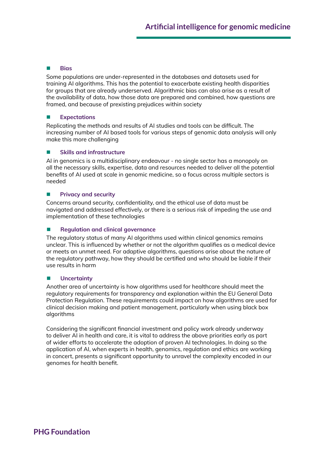#### **Bias**

Some populations are under-represented in the databases and datasets used for training AI algorithms. This has the potential to exacerbate existing health disparities for groups that are already underserved. Algorithmic bias can also arise as a result of the availability of data, how those data are prepared and combined, how questions are framed, and because of prexisting prejudices within society

#### **Expectations**

Replicating the methods and results of AI studies and tools can be difficult. The increasing number of AI based tools for various steps of genomic data analysis will only make this more challenging

#### **Skills and infrastructure**

AI in genomics is a multidisciplinary endeavour - no single sector has a monopoly on all the necessary skills, expertise, data and resources needed to deliver all the potential benefits of AI used at scale in genomic medicine, so a focus across multiple sectors is needed

#### **Privacy and security**

Concerns around security, confidentiality, and the ethical use of data must be navigated and addressed effectively, or there is a serious risk of impeding the use and implementation of these technologies

#### **Regulation and clinical governance**

The regulatory status of many AI algorithms used within clinical genomics remains unclear. This is influenced by whether or not the algorithm qualifies as a medical device or meets an unmet need. For adaptive algorithms, questions arise about the nature of the regulatory pathway, how they should be certified and who should be liable if their use results in harm

#### **Uncertainty**

Another area of uncertainty is how algorithms used for healthcare should meet the regulatory requirements for transparency and explanation within the EU General Data Protection Regulation. These requirements could impact on how algorithms are used for clinical decision making and patient management, particularly when using black box algorithms

Considering the significant financial investment and policy work already underway to deliver AI in health and care, it is vital to address the above priorities early as part of wider efforts to accelerate the adoption of proven AI technologies. In doing so the application of AI, when experts in health, genomics, regulation and ethics are working in concert, presents a significant opportunity to unravel the complexity encoded in our genomes for health benefit.